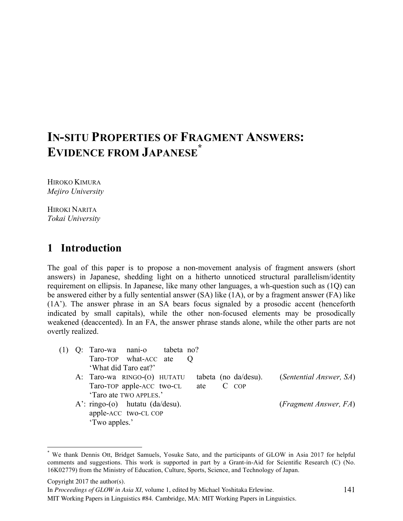# **IN-SITU PROPERTIES OF FRAGMENT ANSWERS: EVIDENCE FROM JAPANESE \***

HIROKO KIMURA *Mejiro University*

HIROKI NARITA *Tokai University*

# **1** Introduction

The goal of this paper is to propose a non-movement analysis of fragment answers (short answers) in Japanese, shedding light on a hitherto unnoticed structural parallelism/identity requirement on ellipsis. In Japanese, like many other languages, a wh-question such as (1Q) can be answered either by a fully sentential answer (SA) like (1A), or by a fragment answer (FA) like (1A'). The answer phrase in an SA bears focus signaled by a prosodic accent (henceforth indicated by small capitals), while the other non-focused elements may be prosodically weakened (deaccented). In an FA, the answer phrase stands alone, while the other parts are not overtly realized.

| (1) |               | Q: Taro-wa nani-o tabeta no?       |  |           |                      |                                        |  |
|-----|---------------|------------------------------------|--|-----------|----------------------|----------------------------------------|--|
|     |               | Taro-TOP what-ACC ate Q            |  |           |                      |                                        |  |
|     |               | 'What did Taro eat?'               |  |           |                      |                                        |  |
|     |               | A: Taro-wa RINGO-(O) HUTATU        |  |           | tabeta (no da/desu). | (Sentential Answer, SA)                |  |
|     |               | Taro-TOP apple-ACC two-CL          |  | ate C COP |                      |                                        |  |
|     |               | 'Taro ate TWO APPLES.'             |  |           |                      |                                        |  |
|     |               | $A'$ : ringo-(o) hutatu (da/desu). |  |           |                      | ( <i>Fragment Answer</i> , <i>FA</i> ) |  |
|     |               | apple-ACC two-CL COP               |  |           |                      |                                        |  |
|     | 'Two apples.' |                                    |  |           |                      |                                        |  |

 <sup>\*</sup> We thank Dennis Ott, Bridget Samuels, Yosuke Sato, and the participants of GLOW in Asia 2017 for helpful comments and suggestions. This work is supported in part by a Grant-in-Aid for Scientific Research (C) (No. 16K02779) from the Ministry of Education, Culture, Sports, Science, and Technology of Japan.

Copyright 2017 the author(s).

In *Proceedings of GLOW in Asia XI*, volume 1, edited by Michael Yoshitaka Erlewine.

MIT Working Papers in Linguistics #84. Cambridge, MA: MIT Working Papers in Linguistics.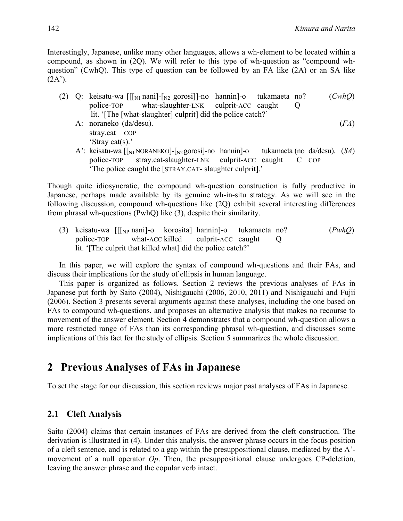Interestingly, Japanese, unlike many other languages, allows a wh-element to be located within a compound, as shown in (2Q). We will refer to this type of wh-question as "compound whquestion" (CwhQ). This type of question can be followed by an FA like (2A) or an SA like  $(2A^{\prime})$ .

- (2) Q: keisatu-wa [[[N1 nani]-[N2 gorosi]]-no hannin]-o tukamaeta no? (*CwhQ*) police-TOP what-slaughter-LNK culprit-ACC caught Q lit. '[The [what-slaughter] culprit] did the police catch?' A: noraneko (da/desu). (*FA*)
	- stray.cat COP 'Stray cat(s).'
	- A': keisatu-wa [[<sub>N1</sub> NORANEKO]-[<sub>N2</sub> gorosi]-no hannin]-o tukamaeta (no da/desu). (*SA*) police-TOP stray.cat-slaughter-LNK culprit-ACC caught C COP 'The police caught the [STRAY.CAT- slaughter culprit].'

Though quite idiosyncratic, the compound wh-question construction is fully productive in Japanese, perhaps made available by its genuine wh-in-situ strategy. As we will see in the following discussion, compound wh-questions like (2Q) exhibit several interesting differences from phrasal wh-questions (PwhQ) like (3), despite their similarity.

(3) keisatu-wa [[[NP nani]-o korosita] hannin]-o tukamaeta no? (*PwhQ*) police-TOP what-ACC killed culprit-ACC caught Q lit. '[The culprit that killed what] did the police catch?'

In this paper, we will explore the syntax of compound wh-questions and their FAs, and discuss their implications for the study of ellipsis in human language.

This paper is organized as follows. Section 2 reviews the previous analyses of FAs in Japanese put forth by Saito (2004), Nishigauchi (2006, 2010, 2011) and Nishigauchi and Fujii (2006). Section 3 presents several arguments against these analyses, including the one based on FAs to compound wh-questions, and proposes an alternative analysis that makes no recourse to movement of the answer element. Section 4 demonstrates that a compound wh-question allows a more restricted range of FAs than its corresponding phrasal wh-question, and discusses some implications of this fact for the study of ellipsis. Section 5 summarizes the whole discussion.

# **2**xx**Previous Analyses of FAs in Japanese**

To set the stage for our discussion, this section reviews major past analyses of FAs in Japanese.

### **2.1 Cleft Analysis**

Saito (2004) claims that certain instances of FAs are derived from the cleft construction. The derivation is illustrated in (4). Under this analysis, the answer phrase occurs in the focus position of a cleft sentence, and is related to a gap within the presuppositional clause, mediated by the A' movement of a null operator *Op*. Then, the presuppositional clause undergoes CP-deletion, leaving the answer phrase and the copular verb intact.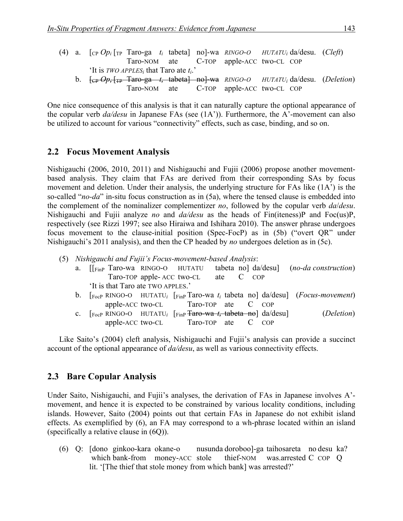|  |                                                             |  |  | (4) a. $[CP Op_i]_{TP}$ Taro-ga t <sub>i</sub> tabeta] no]-wa RINGO-O HUTATU <sub>i</sub> da/desu. (Cleft)                                                                                                                                                                                                                                                                                    |  |
|--|-------------------------------------------------------------|--|--|-----------------------------------------------------------------------------------------------------------------------------------------------------------------------------------------------------------------------------------------------------------------------------------------------------------------------------------------------------------------------------------------------|--|
|  |                                                             |  |  | Taro-NOM ate C-TOP apple-ACC two-CL COP                                                                                                                                                                                                                                                                                                                                                       |  |
|  | 'It is <i>TWO APPLES<sub>i</sub></i> that Taro ate $t_i$ .' |  |  |                                                                                                                                                                                                                                                                                                                                                                                               |  |
|  |                                                             |  |  | b. $\left\{ \frac{c_{\text{P}} - Op_i + T_{\text{P}} - T_{\text{a}} - \frac{c_{\text{P}}}{c_{\text{P}}} \right\}$ + tabeta no $\left\{ -\frac{c_{\text{P}} - c_{\text{P}}}{c_{\text{P}}} \right\}$ + no $\left\{ \frac{c_{\text{P}} - c_{\text{P}}}{c_{\text{P}}} \right\}$ + no $\left\{ \frac{c_{\text{P}} - c_{\text{P}}}{c_{\text{P}}} \right\}$ + no $\left\{ \frac{c_{\text{P}} - c_{\$ |  |
|  |                                                             |  |  | Taro-NOM ate C-TOP apple-ACC two-CL COP                                                                                                                                                                                                                                                                                                                                                       |  |

One nice consequence of this analysis is that it can naturally capture the optional appearance of the copular verb *da/desu* in Japanese FAs (see (1A')). Furthermore, the A'-movement can also be utilized to account for various "connectivity" effects, such as case, binding, and so on.

#### **2.2 Focus Movement Analysis**

Nishigauchi (2006, 2010, 2011) and Nishigauchi and Fujii (2006) propose another movementbased analysis. They claim that FAs are derived from their corresponding SAs by focus movement and deletion. Under their analysis, the underlying structure for FAs like (1A') is the so-called "*no-da*" in-situ focus construction as in (5a), where the tensed clause is embedded into the complement of the nominalizer complementizer *no*, followed by the copular verb *da*/*desu*. Nishigauchi and Fujii analyze *no* and *da/desu* as the heads of Fin(iteness)P and Foc(us)P, respectively (see Rizzi 1997; see also Hiraiwa and Ishihara 2010). The answer phrase undergoes focus movement to the clause-initial position (Spec-FocP) as in (5b) ("overt QR" under Nishigauchi's 2011 analysis), and then the CP headed by *no* undergoes deletion as in (5c).

- (5) *Nishigauchi and Fujii's Focus-movement-based Analysis*:
	- a. [[FinP Taro-wa RINGO-O HUTATU tabeta no] da/desu] (*no-da construction*) Taro-TOP apple- ACC two-CL ate C COP 'It is that Taro ate TWO APPLES.'
		- b. [FocP RINGO-O HUTATU*<sup>i</sup>* [FinP Taro-wa *ti* tabeta no] da/desu] (*Focus-movement*) apple-ACC two-CL Taro-TOP ate C COP
		- c. [FocP RINGO-O HUTATU*<sup>i</sup>* [FinP Taro-wa *ti* tabeta no] da/desu] (*Deletion*) apple-ACC two-CL Taro-TOP ate C COP

Like Saito's (2004) cleft analysis, Nishigauchi and Fujii's analysis can provide a succinct account of the optional appearance of *da/desu*, as well as various connectivity effects.

#### **2.3**xx**Bare Copular Analysis**

Under Saito, Nishigauchi, and Fujii's analyses, the derivation of FAs in Japanese involves A' movement, and hence it is expected to be constrained by various locality conditions, including islands. However, Saito (2004) points out that certain FAs in Japanese do not exhibit island effects. As exemplified by (6), an FA may correspond to a wh-phrase located within an island (specifically a relative clause in (6Q)).

(6) Q: [dono ginkoo-kara okane-o nusunda doroboo]-ga taihosareta no desu ka? which bank-from money-ACC stole thief-NOM was.arrested C COP Q lit. '[The thief that stole money from which bank] was arrested?'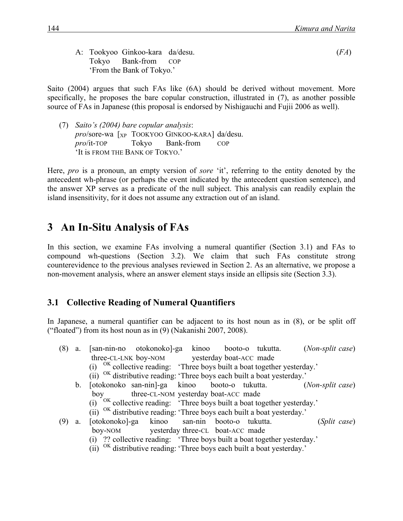A: Tookyoo Ginkoo-kara da/desu. (*FA*) Tokyo Bank-from COP 'From the Bank of Tokyo.'

Saito (2004) argues that such FAs like (6A) should be derived without movement. More specifically, he proposes the bare copular construction, illustrated in (7), as another possible source of FAs in Japanese (this proposal is endorsed by Nishigauchi and Fujii 2006 as well).

(7) *Saito's (2004) bare copular analysis*: *pro*/sore-wa [XP TOOKYOO GINKOO-KARA] da/desu. *pro*/it-TOP Tokyo Bank-from COP 'It is FROM THE BANK OF TOKYO.'

Here, *pro* is a pronoun, an empty version of *sore* 'it', referring to the entity denoted by the antecedent wh-phrase (or perhaps the event indicated by the antecedent question sentence), and the answer XP serves as a predicate of the null subject. This analysis can readily explain the island insensitivity, for it does not assume any extraction out of an island.

## **3** An In-Situ Analysis of FAs

In this section, we examine FAs involving a numeral quantifier (Section 3.1) and FAs to compound wh-questions (Section 3.2). We claim that such FAs constitute strong counterevidence to the previous analyses reviewed in Section 2. As an alternative, we propose a non-movement analysis, where an answer element stays inside an ellipsis site (Section 3.3).

### **3.1 Collective Reading of Numeral Quantifiers**

In Japanese, a numeral quantifier can be adjacent to its host noun as in (8), or be split off ("floated") from its host noun as in (9) (Nakanishi 2007, 2008).

- (8) a. [san-nin-no otokonoko]-ga kinoo booto-o tukutta. (*Non-split case*) three-CL-LNK boy-NOM yesterday boat-ACC made (i) OK collective reading: 'Three boys built a boat together yesterday.' (ii) OK distributive reading: 'Three boys each built a boat yesterday.' b. [otokonoko san-nin]-ga kinoo booto-o tukutta. (*Non-split case*) boy three-CL-NOM yesterday boat-ACC made  $(i)$ <sup>OK</sup> collective reading: 'Three boys built a boat together yesterday.' (ii) OK distributive reading: 'Three boys each built a boat yesterday.' (9) a. [otokonoko]-ga kinoo san-nin booto-o tukutta. (*Split case*) boy-NOM yesterday three-CL boat-ACC made
	- (i) ?? collective reading: 'Three boys built a boat together yesterday.'
	- (ii) OK distributive reading: 'Three boys each built a boat yesterday.'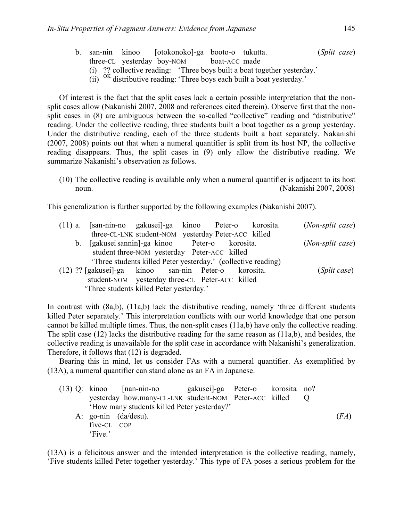- b. san-nin kinoo [otokonoko]-ga booto-o tukutta. (*Split case*) three-CL yesterday boy-NOM boat-ACC made
	- (i) ?? collective reading: 'Three boys built a boat together yesterday.'
	- (ii) OK distributive reading: 'Three boys each built a boat yesterday.'

Of interest is the fact that the split cases lack a certain possible interpretation that the nonsplit cases allow (Nakanishi 2007, 2008 and references cited therein). Observe first that the nonsplit cases in (8) are ambiguous between the so-called "collective" reading and "distributive" reading. Under the collective reading, three students built a boat together as a group yesterday. Under the distributive reading, each of the three students built a boat separately. Nakanishi (2007, 2008) points out that when a numeral quantifier is split from its host NP, the collective reading disappears. Thus, the split cases in (9) only allow the distributive reading. We summarize Nakanishi's observation as follows.

(10) The collective reading is available only when a numeral quantifier is adjacent to its host noun. (Nakanishi 2007, 2008)

This generalization is further supported by the following examples (Nakanishi 2007).

|  | (11) a. [san-nin-no gakusei]-ga kinoo Peter-o korosita.       |  |           |  | (Non-split case)      |
|--|---------------------------------------------------------------|--|-----------|--|-----------------------|
|  | three-CL-LNK student-NOM yesterday Peter-ACC killed           |  |           |  |                       |
|  | b. [gakusei sannin]-ga kinoo Peter-o korosita.                |  |           |  | (Non-split case)      |
|  | student three-NOM yesterday Peter-ACC killed                  |  |           |  |                       |
|  | 'Three students killed Peter yesterday.' (collective reading) |  |           |  |                       |
|  | (12) ?? [gakusei]-ga kinoo san-nin Peter-o                    |  | korosita. |  | ( <i>Split case</i> ) |
|  | student-NOM yesterday three-CL Peter-ACC killed               |  |           |  |                       |
|  | 'Three students killed Peter yesterday.'                      |  |           |  |                       |

In contrast with (8a,b), (11a,b) lack the distributive reading, namely 'three different students killed Peter separately.' This interpretation conflicts with our world knowledge that one person cannot be killed multiple times. Thus, the non-split cases (11a,b) have only the collective reading. The split case (12) lacks the distributive reading for the same reason as (11a,b), and besides, the collective reading is unavailable for the split case in accordance with Nakanishi's generalization. Therefore, it follows that (12) is degraded.

Bearing this in mind, let us consider FAs with a numeral quantifier. As exemplified by (13A), a numeral quantifier can stand alone as an FA in Japanese.

|             | (13) Q: kinoo [nan-nin-no gakusei]-ga Peter-o korosita no? |  |  |      |
|-------------|------------------------------------------------------------|--|--|------|
|             | yesterday how.many-CL-LNK student-NOM Peter-ACC killed Q   |  |  |      |
|             | 'How many students killed Peter yesterday?'                |  |  |      |
|             | A: go-nin $(da/desu)$ .                                    |  |  | (FA) |
| five-CL COP |                                                            |  |  |      |
| 'Five.'     |                                                            |  |  |      |

(13A) is a felicitous answer and the intended interpretation is the collective reading, namely, 'Five students killed Peter together yesterday.' This type of FA poses a serious problem for the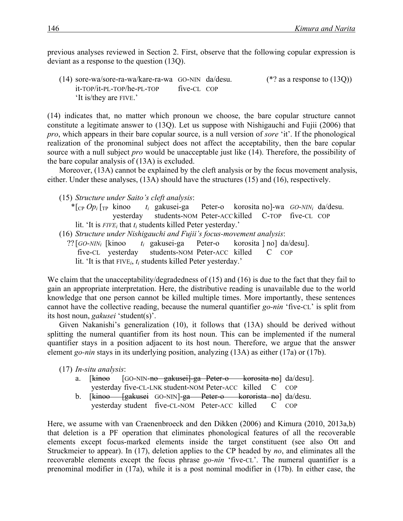previous analyses reviewed in Section 2. First, observe that the following copular expression is deviant as a response to the question (13Q).

(14) sore-wa/sore-ra-wa/kare-ra-wa GO-NIN da/desu. (\*? as a response to (13Q)) it-TOP/it-PL-TOP/he-PL-TOP five-CL COP 'It is/they are FIVE.'

(14) indicates that, no matter which pronoun we choose, the bare copular structure cannot constitute a legitimate answer to (13Q). Let us suppose with Nishigauchi and Fujii (2006) that *pro*, which appears in their bare copular source, is a null version of *sore* 'it'. If the phonological realization of the pronominal subject does not affect the acceptability, then the bare copular source with a null subject *pro* would be unacceptable just like (14). Therefore, the possibility of the bare copular analysis of (13A) is excluded.

Moreover, (13A) cannot be explained by the cleft analysis or by the focus movement analysis, either. Under these analyses, (13A) should have the structures (15) and (16), respectively.

(15) *Structure under Saito's cleft analysis*:

- \*[CP *Opi* [TP kinoo *ti* gakusei-ga Peter-o korosita no]-wa *GO-NINi* da/desu. yesterday students-NOM Peter-ACCkilled C-TOP five-CL COP lit. 'It is *FIVEi* that *ti* students killed Peter yesterday.'
- (16) *Structure under Nishigauchi and Fujii's focus-movement analysis*:
- ?? [*GO-NINi* [kinoo *ti* gakusei-ga Peter-o korosita ] no] da/desu]. five-CL yesterday students-NOM Peter-ACC killed C COP lit. 'It is that FIVE*i*, *ti* students killed Peter yesterday.'

We claim that the unacceptability/degradedness of (15) and (16) is due to the fact that they fail to gain an appropriate interpretation. Here, the distributive reading is unavailable due to the world knowledge that one person cannot be killed multiple times. More importantly, these sentences cannot have the collective reading, because the numeral quantifier *go-nin* 'five-CL' is split from its host noun, *gakusei* 'student(s)'.

Given Nakanishi's generalization (10), it follows that (13A) should be derived without splitting the numeral quantifier from its host noun. This can be implemented if the numeral quantifier stays in a position adjacent to its host noun. Therefore, we argue that the answer element *go-nin* stays in its underlying position, analyzing (13A) as either (17a) or (17b).

(17) *In-situ analysis*:

- a. [kinoo [GO-NIN-no gakusei]-ga Peter-o korosita no] da/desu]. yesterday five-CL-LNK student-NOM Peter-ACC killed C COP
- b. [kinoo [gakusei GO-NIN]-ga Peter-o kororista no] da/desu. yesterday student five-CL-NOM Peter-ACC killed C COP

Here, we assume with van Craenenbroeck and den Dikken (2006) and Kimura (2010, 2013a,b) that deletion is a PF operation that eliminates phonological features of all the recoverable elements except focus-marked elements inside the target constituent (see also Ott and Struckmeier to appear). In (17), deletion applies to the CP headed by *no*, and eliminates all the recoverable elements except the focus phrase *go-nin* 'five-CL'. The numeral quantifier is a prenominal modifier in (17a), while it is a post nominal modifier in (17b). In either case, the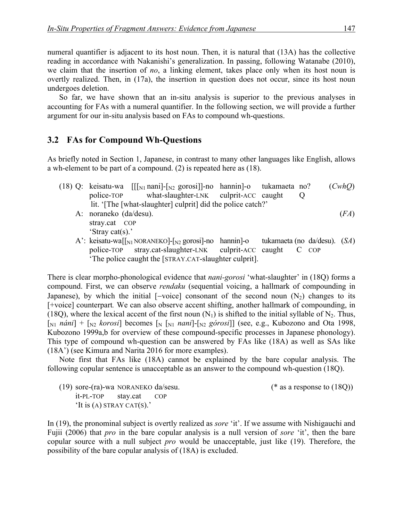numeral quantifier is adjacent to its host noun. Then, it is natural that (13A) has the collective reading in accordance with Nakanishi's generalization. In passing, following Watanabe (2010), we claim that the insertion of *no*, a linking element, takes place only when its host noun is overtly realized. Then, in (17a), the insertion in question does not occur, since its host noun undergoes deletion.

So far, we have shown that an in-situ analysis is superior to the previous analyses in accounting for FAs with a numeral quantifier. In the following section, we will provide a further argument for our in-situ analysis based on FAs to compound wh-questions.

#### **3.2**xx**FAs for Compound Wh-Questions**

As briefly noted in Section 1, Japanese, in contrast to many other languages like English, allows a wh-element to be part of a compound. (2) is repeated here as (18).

- (18) Q: keisatu-wa [[[N1 nani]-[N2 gorosi]]-no hannin]-o tukamaeta no? (*CwhQ*) police-TOP what-slaughter-LNK culprit-ACC caught Q lit. '[The [what-slaughter] culprit] did the police catch?' A: noraneko (da/desu). (*FA*) stray.cat COP 'Stray cat(s).' A': keisatu-wa[[<sub>N1</sub> NORANEKO]-[<sub>N2</sub> gorosi]-no hannin]-o tukamaeta (no da/desu). (*SA*)
	- police-TOP stray.cat-slaughter-LNK culprit-ACC caught C COP 'The police caught the [STRAY.CAT-slaughter culprit].

There is clear morpho-phonological evidence that *nani-gorosi* 'what-slaughter' in (18Q) forms a compound. First, we can observe *rendaku* (sequential voicing, a hallmark of compounding in Japanese), by which the initial [-voice] consonant of the second noun  $(N_2)$  changes to its [+voice] counterpart*.* We can also observe accent shifting, another hallmark of compounding, in (18Q), where the lexical accent of the first noun  $(N_1)$  is shifted to the initial syllable of N<sub>2</sub>. Thus,  $\lceil N_1 \rceil \hat{n}$ *náni*] +  $\lceil N_2 \rceil$  *korosi*] becomes  $\lceil N_1 \rceil \hat{n}$ *nani*]- $\lceil N_2 \rceil \hat{n}$ *górosi*] (see, e.g., Kubozono and Ota 1998, Kubozono 1999a,b for overview of these compound-specific processes in Japanese phonology). This type of compound wh-question can be answered by FAs like (18A) as well as SAs like (18A') (see Kimura and Narita 2016 for more examples).

Note first that FAs like (18A) cannot be explained by the bare copular analysis. The following copular sentence is unacceptable as an answer to the compound wh-question (18Q).

(19) sore-(ra)-wa NORANEKO da/sesu. (\* as a response to (18Q)) it-PL-TOP stay.cat COP 'It is (A) STRAY CAT(S).'

In (19), the pronominal subject is overtly realized as *sore* 'it'. If we assume with Nishigauchi and Fujii (2006) that *pro* in the bare copular analysis is a null version of *sore* 'it', then the bare copular source with a null subject *pro* would be unacceptable, just like (19). Therefore, the possibility of the bare copular analysis of (18A) is excluded.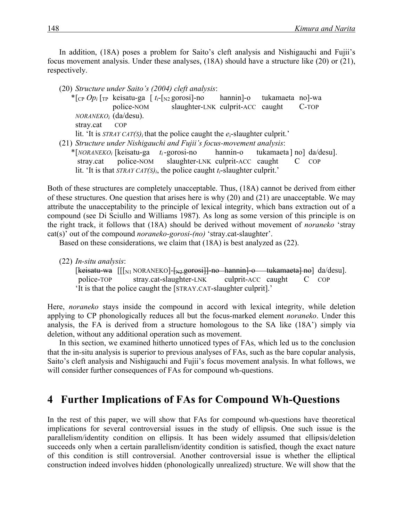In addition, (18A) poses a problem for Saito's cleft analysis and Nishigauchi and Fujii's focus movement analysis. Under these analyses, (18A) should have a structure like (20) or (21), respectively.

|           |                         | (20) Structure under Saito's (2004) cleft analysis:                                       |                          |          |  |
|-----------|-------------------------|-------------------------------------------------------------------------------------------|--------------------------|----------|--|
|           |                         | * $[{}_{CP}Op_i]_{TP}$ keisatu-ga $[t_i-[{}_{N2}gorosi]$ -no                              | hannin-o tukamaeta no-wa |          |  |
|           | police-NOM              | slaughter-LNK culprit-ACC caught                                                          |                          | $C$ -TOP |  |
|           | $NORANEKO_i$ (da/desu). |                                                                                           |                          |          |  |
| stray.cat | <b>COP</b>              |                                                                                           |                          |          |  |
|           |                         | lit. 'It is $STRAY CAT(S)$ ; that the police caught the $e_i$ -slaughter culprit.'        |                          |          |  |
|           |                         | (21) Structure under Nishigauchi and Fujii's focus-movement analysis:                     |                          |          |  |
|           |                         | $*[NORANEKO_i]$ [keisatu-ga t <sub>i</sub> -gorosi-no hannin-o tukamaeta   no   da/desu]. |                          |          |  |
|           |                         | stray.cat police-NOM slaughter-LNK culprit-ACC caught                                     |                          | COP      |  |
|           |                         | lit. 'It is that $STRAY CAT(S)i$ , the police caught $t_i$ -slaughter culprit.'           |                          |          |  |

Both of these structures are completely unacceptable. Thus, (18A) cannot be derived from either of these structures. One question that arises here is why (20) and (21) are unacceptable. We may attribute the unacceptability to the principle of lexical integrity, which bans extraction out of a compound (see Di Sciullo and Williams 1987). As long as some version of this principle is on the right track, it follows that (18A) should be derived without movement of *noraneko* 'stray cat(s)' out of the compound *noraneko-gorosi-(no)* 'stray.cat-slaughter'.

Based on these considerations, we claim that (18A) is best analyzed as (22).

(22) *In-situ analysis*:

 $[k$ eisatu-wa  $[[s]_{N1}$  NORANEKO]- $[s]_{N2}$  gorosi]]-no hannin]-o tukamaeta] no] da/desu]. police-TOP stray.cat-slaughter-LNK culprit-ACC caught C COP 'It is that the police caught the [STRAY.CAT-slaughter culprit].'

Here, *noraneko* stays inside the compound in accord with lexical integrity, while deletion applying to CP phonologically reduces all but the focus-marked element *noraneko*. Under this analysis, the FA is derived from a structure homologous to the SA like (18A') simply via deletion, without any additional operation such as movement.

In this section, we examined hitherto unnoticed types of FAs, which led us to the conclusion that the in-situ analysis is superior to previous analyses of FAs, such as the bare copular analysis, Saito's cleft analysis and Nishigauchi and Fujii's focus movement analysis. In what follows, we will consider further consequences of FAs for compound wh-questions.

### **4** Further Implications of FAs for Compound Wh-Questions

In the rest of this paper, we will show that FAs for compound wh-questions have theoretical implications for several controversial issues in the study of ellipsis. One such issue is the parallelism/identity condition on ellipsis. It has been widely assumed that ellipsis/deletion succeeds only when a certain parallelism/identity condition is satisfied, though the exact nature of this condition is still controversial. Another controversial issue is whether the elliptical construction indeed involves hidden (phonologically unrealized) structure. We will show that the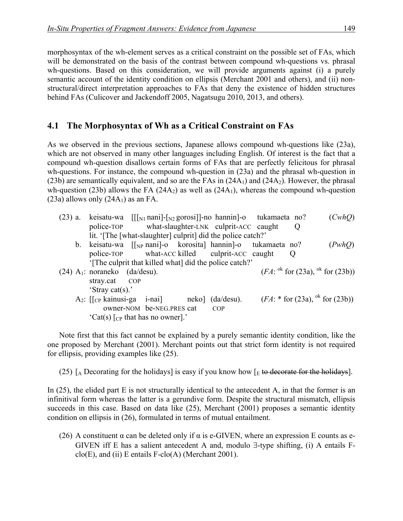morphosyntax of the wh-element serves as a critical constraint on the possible set of FAs, which will be demonstrated on the basis of the contrast between compound wh-questions vs. phrasal wh-questions. Based on this consideration, we will provide arguments against (i) a purely semantic account of the identity condition on ellipsis (Merchant 2001 and others), and (ii) nonstructural/direct interpretation approaches to FAs that deny the existence of hidden structures behind FAs (Culicover and Jackendoff 2005, Nagatsugu 2010, 2013, and others).

### **4.1**xx**The Morphosyntax of Wh as a Critical Constraint on FAs**

As we observed in the previous sections, Japanese allows compound wh-questions like (23a), which are not observed in many other languages including English. Of interest is the fact that a compound wh-question disallows certain forms of FAs that are perfectly felicitous for phrasal wh-questions. For instance, the compound wh-question in (23a) and the phrasal wh-question in (23b) are semantically equivalent, and so are the FAs in  $(24A<sub>1</sub>)$  and  $(24A<sub>2</sub>)$ . However, the phrasal wh-question (23b) allows the FA (24A<sub>2</sub>) as well as (24A<sub>1</sub>), whereas the compound wh-question  $(23a)$  allows only  $(24A<sub>1</sub>)$  as an FA.

|  |                                                                             |                           | (23) a. keisatu-wa $[[x_n]$ nanile $[x_2]$ gorosile no hannine tukamaeta no? |                | (CwhO)                                        |
|--|-----------------------------------------------------------------------------|---------------------------|------------------------------------------------------------------------------|----------------|-----------------------------------------------|
|  |                                                                             |                           | police-TOP what-slaughter-LNK culprit-ACC caught                             | $\overline{O}$ |                                               |
|  |                                                                             |                           | lit. '[The [what-slaughter] culprit] did the police catch?'                  |                |                                               |
|  |                                                                             |                           | b. keisatu-wa [[NP nani]-o korosita] hannin]-o tukamaeta no?                 |                | (PwhO)                                        |
|  |                                                                             |                           | police-TOP what-ACC killed culprit-ACC caught                                | $\cup$         |                                               |
|  |                                                                             |                           | '[The culprit that killed what] did the police catch?'                       |                |                                               |
|  | $(24)$ A <sub>1</sub> : noraneko (da/desu).                                 |                           |                                                                              |                | $(FA: ^{ok}$ for $(23a)$ , $ok$ for $(23b)$ ) |
|  | stray.cat COP                                                               |                           |                                                                              |                |                                               |
|  | 'Stray cat(s).'                                                             |                           |                                                                              |                |                                               |
|  | $A_2$ : $\begin{bmatrix} c_P \text{ kainusi-ga} & i-nai \end{bmatrix}$ neko |                           | $(da/desu)$ .                                                                |                | $(FA: * for (23a), ok for (23b))$             |
|  |                                                                             | owner-NOM be-NEG.PRES cat | COP                                                                          |                |                                               |
|  | 'Cat(s) $\lceil$ <sub>CP</sub> that has no owner].'                         |                           |                                                                              |                |                                               |

Note first that this fact cannot be explained by a purely semantic identity condition, like the one proposed by Merchant (2001). Merchant points out that strict form identity is not required for ellipsis, providing examples like (25).

(25)  $\lceil_{A}$  Decorating for the holidays] is easy if you know how  $\lceil_{E}$  to decorate for the holidays].

In (25), the elided part E is not structurally identical to the antecedent A, in that the former is an infinitival form whereas the latter is a gerundive form. Despite the structural mismatch, ellipsis succeeds in this case. Based on data like (25), Merchant (2001) proposes a semantic identity condition on ellipsis in (26), formulated in terms of mutual entailment.

(26) A constituent  $\alpha$  can be deleted only if  $\alpha$  is e-GIVEN, where an expression E counts as e-GIVEN iff E has a salient antecedent A and, modulo  $\exists$ -type shifting, (i) A entails F $clo(E)$ , and (ii) E entails F-clo(A) (Merchant 2001).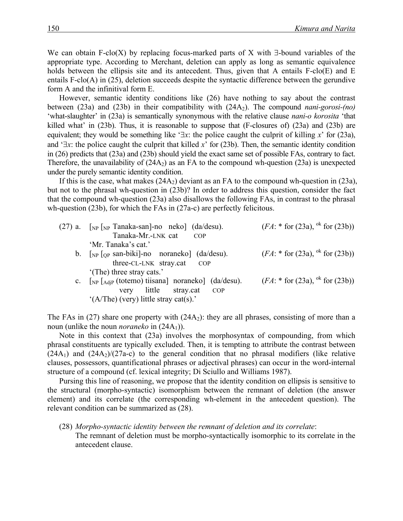We can obtain F-clo(X) by replacing focus-marked parts of X with  $\exists$ -bound variables of the appropriate type. According to Merchant, deletion can apply as long as semantic equivalence holds between the ellipsis site and its antecedent. Thus, given that A entails F-clo(E) and E entails F-clo(A) in (25), deletion succeeds despite the syntactic difference between the gerundive form A and the infinitival form E.

However, semantic identity conditions like (26) have nothing to say about the contrast between (23a) and (23b) in their compatibility with (24A<sub>2</sub>). The compound *nani-gorosi-(no)* 'what-slaughter' in (23a) is semantically synonymous with the relative clause *nani-o korosita* 'that killed what' in (23b). Thus, it is reasonable to suppose that (F-closures of) (23a) and (23b) are equivalent; they would be something like ' $\exists x$ : the police caught the culprit of killing  $x$ ' for (23a), and  $\exists x$ : the police caught the culprit that killed *x*<sup> $\circ$ </sup> for (23b). Then, the semantic identity condition in (26) predicts that (23a) and (23b) should yield the exact same set of possible FAs, contrary to fact. Therefore, the unavailability of  $(24A<sub>2</sub>)$  as an FA to the compound wh-question  $(23a)$  is unexpected under the purely semantic identity condition.

If this is the case, what makes  $(24A<sub>2</sub>)$  deviant as an FA to the compound wh-question in  $(23a)$ , but not to the phrasal wh-question in (23b)? In order to address this question, consider the fact that the compound wh-question (23a) also disallows the following FAs, in contrast to the phrasal wh-question (23b), for which the FAs in (27a-c) are perfectly felicitous.

| $(27)$ a. [ <sub>NP</sub> [ <sub>NP</sub> Tanaka-san]-no neko] (da/desu). | $(FA: * for (23a), ok for (23b))$ |
|---------------------------------------------------------------------------|-----------------------------------|
| Tanaka-Mr.-LNK cat<br>COP                                                 |                                   |
| 'Mr. Tanaka's cat.'                                                       |                                   |
| b. $\lceil_{NP} \rceil_{OP}$ san-biki]-no noraneko] (da/desu).            | $(FA: * for (23a), ok for (23b))$ |
| three-CL-LNK stray.cat COP                                                |                                   |
| '(The) three stray cats.'                                                 |                                   |
| c. $\lceil_{NP} \rceil_{AdiP}$ (totemo) tiisana] noraneko] (da/desu).     | $(FA: * for (23a), ok for (23b))$ |
| very little stray.cat<br><b>COP</b>                                       |                                   |
|                                                                           |                                   |

'(A/The) (very) little stray cat(s).'

The FAs in (27) share one property with (24A<sub>2</sub>): they are all phrases, consisting of more than a noun (unlike the noun *noraneko* in (24A<sub>1</sub>)).

Note in this context that (23a) involves the morphosyntax of compounding, from which phrasal constituents are typically excluded. Then, it is tempting to attribute the contrast between  $(24A_1)$  and  $(24A_2)/(27a-c)$  to the general condition that no phrasal modifiers (like relative clauses, possessors, quantificational phrases or adjectival phrases) can occur in the word-internal structure of a compound (cf. lexical integrity; Di Sciullo and Williams 1987).

Pursing this line of reasoning, we propose that the identity condition on ellipsis is sensitive to the structural (morpho-syntactic) isomorphism between the remnant of deletion (the answer element) and its correlate (the corresponding wh-element in the antecedent question). The relevant condition can be summarized as (28).

(28) *Morpho-syntactic identity between the remnant of deletion and its correlate*:

The remnant of deletion must be morpho-syntactically isomorphic to its correlate in the antecedent clause.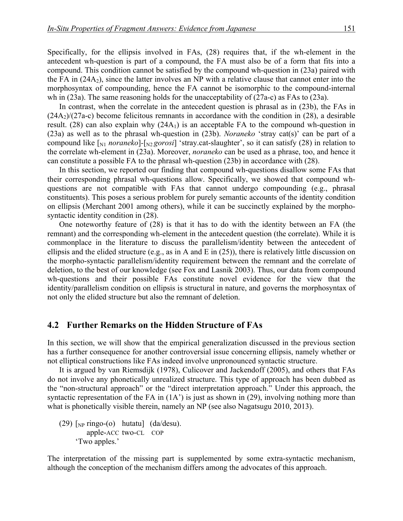Specifically, for the ellipsis involved in FAs, (28) requires that, if the wh-element in the antecedent wh-question is part of a compound, the FA must also be of a form that fits into a compound. This condition cannot be satisfied by the compound wh-question in (23a) paired with the FA in  $(24A<sub>2</sub>)$ , since the latter involves an NP with a relative clause that cannot enter into the morphosyntax of compounding, hence the FA cannot be isomorphic to the compound-internal wh in (23a). The same reasoning holds for the unacceptability of (27a-c) as FAs to (23a).

In contrast, when the correlate in the antecedent question is phrasal as in (23b), the FAs in  $(24A<sub>2</sub>)/(27a-c)$  become felicitous remnants in accordance with the condition in (28), a desirable result. (28) can also explain why  $(24A<sub>1</sub>)$  is an acceptable FA to the compound wh-question in (23a) as well as to the phrasal wh-question in (23b). *Noraneko* 'stray cat(s)' can be part of a compound like  $\lceil_{N1}$  *noraneko*] $\lceil_{N2}$  *gorosi*] 'stray.cat-slaughter', so it can satisfy (28) in relation to the correlate wh-element in (23a). Moreover, *noraneko* can be used as a phrase, too, and hence it can constitute a possible FA to the phrasal wh-question (23b) in accordance with (28).

In this section, we reported our finding that compound wh-questions disallow some FAs that their corresponding phrasal wh-questions allow. Specifically, we showed that compound whquestions are not compatible with FAs that cannot undergo compounding (e.g., phrasal constituents). This poses a serious problem for purely semantic accounts of the identity condition on ellipsis (Merchant 2001 among others), while it can be succinctly explained by the morphosyntactic identity condition in (28).

One noteworthy feature of (28) is that it has to do with the identity between an FA (the remnant) and the corresponding wh-element in the antecedent question (the correlate). While it is commonplace in the literature to discuss the parallelism/identity between the antecedent of ellipsis and the elided structure (e.g., as in A and E in (25)), there is relatively little discussion on the morpho-syntactic parallelism/identity requirement between the remnant and the correlate of deletion, to the best of our knowledge (see Fox and Lasnik 2003). Thus, our data from compound wh-questions and their possible FAs constitute novel evidence for the view that the identity/parallelism condition on ellipsis is structural in nature, and governs the morphosyntax of not only the elided structure but also the remnant of deletion.

#### **4.2**xx**Further Remarks on the Hidden Structure of FAs**

In this section, we will show that the empirical generalization discussed in the previous section has a further consequence for another controversial issue concerning ellipsis, namely whether or not elliptical constructions like FAs indeed involve unpronounced syntactic structure.

It is argued by van Riemsdijk (1978), Culicover and Jackendoff (2005), and others that FAs do not involve any phonetically unrealized structure. This type of approach has been dubbed as the "non-structural approach" or the "direct interpretation approach." Under this approach, the syntactic representation of the FA in  $(1A<sup>2</sup>)$  is just as shown in (29), involving nothing more than what is phonetically visible therein, namely an NP (see also Nagatsugu 2010, 2013).

(29)  $\lceil_{NP}$  ringo-(o) hutatu] (da/desu). apple-ACC two-CL COP 'Two apples.'

The interpretation of the missing part is supplemented by some extra-syntactic mechanism, although the conception of the mechanism differs among the advocates of this approach.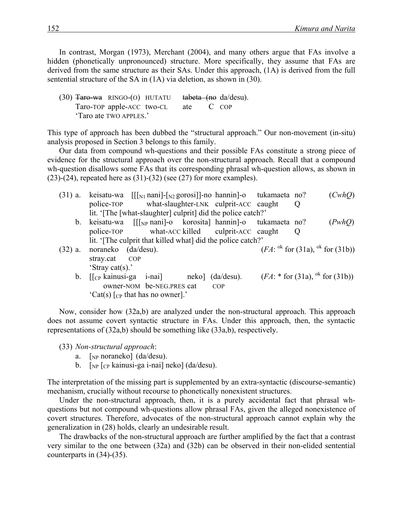In contrast, Morgan (1973), Merchant (2004), and many others argue that FAs involve a hidden (phonetically unpronounced) structure. More specifically, they assume that FAs are derived from the same structure as their SAs. Under this approach, (1A) is derived from the full sentential structure of the SA in (1A) via deletion, as shown in (30).

| (30) <del>Taro-wa</del> ringo-(o) hutatu <del>tabeta (no</del> da/desu). |                           |     |       |
|--------------------------------------------------------------------------|---------------------------|-----|-------|
|                                                                          | Taro-TOP apple-ACC two-CL | ate | C COP |
|                                                                          | 'Taro ate TWO APPLES.'    |     |       |

This type of approach has been dubbed the "structural approach." Our non-movement (in-situ) analysis proposed in Section 3 belongs to this family.

Our data from compound wh-questions and their possible FAs constitute a strong piece of evidence for the structural approach over the non-structural approach. Recall that a compound wh-question disallows some FAs that its corresponding phrasal wh-question allows, as shown in  $(23)-(24)$ , repeated here as  $(31)-(32)$  (see  $(27)$ ) for more examples).

|           |                     | $(31)$ a. keisatu-wa $[[x]$ nani $]-[x]$ gorosi $]$ -no hannin $]$ -o tukamaeta no?                                                       |                  |         | (CwhO)                                             |
|-----------|---------------------|-------------------------------------------------------------------------------------------------------------------------------------------|------------------|---------|----------------------------------------------------|
|           |                     | police-TOP what-slaughter-LNK culprit-ACC caught                                                                                          |                  | $\circ$ |                                                    |
|           |                     | lit. '[The [what-slaughter] culprit] did the police catch?'                                                                               |                  |         |                                                    |
|           |                     | b. keisatu-wa $[[\gamma_{\text{NP}}]$ nani $]-o$ korosita hannin $]-o$ tukamaeta no?                                                      |                  |         | (PwhQ)                                             |
|           |                     | police-TOP what-ACC killed culprit-ACC caught Q                                                                                           |                  |         |                                                    |
|           |                     | lit. '[The culprit that killed what] did the police catch?'                                                                               |                  |         |                                                    |
| $(32)$ a. | noraneko (da/desu). |                                                                                                                                           |                  |         | $(FA: {}^{ok}$ for $(31a)$ , ${}^{ok}$ for $(31b)$ |
|           | stray.cat COP       |                                                                                                                                           |                  |         |                                                    |
|           | 'Stray cat(s).'     |                                                                                                                                           |                  |         |                                                    |
|           |                     | b. $\left[\begin{matrix} \Gamma_{\rm CP} & \Gamma_{\rm can} & \Gamma_{\rm can} & \Gamma_{\rm can} & \Gamma_{\rm can} \end{matrix}\right]$ | neko] (da/desu). |         | $(FA: * for (31a), ok for (31b))$                  |
|           |                     | owner-NOM be-NEG.PRES cat                                                                                                                 | <b>COP</b>       |         |                                                    |

'Cat(s)  $\lceil$ <sub>CP</sub> that has no owner].'

Now, consider how (32a,b) are analyzed under the non-structural approach. This approach does not assume covert syntactic structure in FAs. Under this approach, then, the syntactic representations of (32a,b) should be something like (33a,b), respectively.

(33) *Non-structural approach*:

- a.  $\lceil_{NP}$  noraneko] (da/desu).
- b. [<sub>NP</sub> [<sub>CP</sub> kainusi-ga i-nai] neko] (da/desu).

The interpretation of the missing part is supplemented by an extra-syntactic (discourse-semantic) mechanism, crucially without recourse to phonetically nonexistent structures.

Under the non-structural approach, then, it is a purely accidental fact that phrasal whquestions but not compound wh-questions allow phrasal FAs, given the alleged nonexistence of covert structures. Therefore, advocates of the non-structural approach cannot explain why the generalization in (28) holds, clearly an undesirable result.

The drawbacks of the non-structural approach are further amplified by the fact that a contrast very similar to the one between (32a) and (32b) can be observed in their non-elided sentential counterparts in (34)-(35).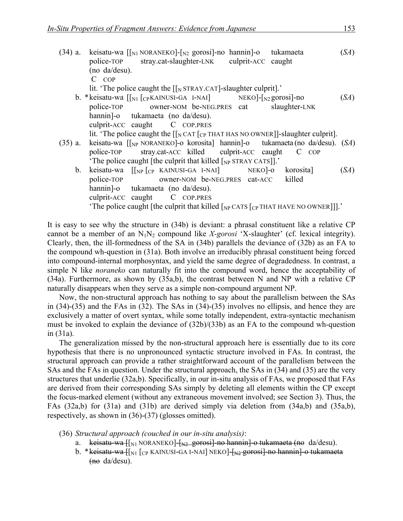|    | (34) a. keisatu-wa $\lceil \eta_1 \rceil_{N1}$ NORANEKO]- $\lceil \eta_2 \rceil_{N2}$ gorosi]-no hannin]-o tukamaeta<br>police-TOP stray.cat-slaughter-LNK culprit-ACC caught<br>(no da/desu). | (SA) |
|----|------------------------------------------------------------------------------------------------------------------------------------------------------------------------------------------------|------|
|    | $C$ $COP$                                                                                                                                                                                      |      |
|    | lit. 'The police caught the $\left[\left[\right]_N$ STRAY.CAT]-slaughter culprit].'                                                                                                            |      |
|    |                                                                                                                                                                                                | (SA) |
|    | police-TOP owner-NOM be-NEG.PRES cat<br>slaughter-LNK                                                                                                                                          |      |
|    | hannin]-o tukamaeta (no da/desu).                                                                                                                                                              |      |
|    | culprit-ACC caught C COP.PRES                                                                                                                                                                  |      |
|    | lit. 'The police caught the $\lceil \int_N CAT \rceil_{CP}$ THAT HAS NO OWNER] -slaughter culprit.                                                                                             |      |
|    | (35) a. keisatu-wa [[ <sub>NP</sub> NORANEKO]-o korosita] hannin]-o tukamaeta (no da/desu). (SA)                                                                                               |      |
|    | police-TOP stray.cat-ACC killed culprit-ACC caught<br>$C$ $COP$                                                                                                                                |      |
|    | The police caught [the culprit that killed $\lceil_{NP}$ STRAY CATS]].                                                                                                                         |      |
| b. | keisatu-wa $\lceil \lceil_{NP} \rceil_{CP}$ KAINUSI-GA I-NAI $\rceil$ NEKO $\rceil$ -0 korosita                                                                                                | (SA) |
|    | owner-NOM be-NEG.PRES cat-ACC killed<br>police-TOP                                                                                                                                             |      |
|    | hannin-o tukamaeta (no da/desu).                                                                                                                                                               |      |
|    | culprit-ACC caught C COP.PRES                                                                                                                                                                  |      |
|    |                                                                                                                                                                                                |      |
|    | 'The police caught [the culprit that killed $\lceil_{NP}$ CATS $\lceil_{CP}$ THAT HAVE NO OWNER]]].'                                                                                           |      |

It is easy to see why the structure in (34b) is deviant: a phrasal constituent like a relative CP cannot be a member of an N1N2 compound like *X-gorosi* 'X-slaughter' (cf. lexical integrity). Clearly, then, the ill-formedness of the SA in (34b) parallels the deviance of (32b) as an FA to the compound wh-question in (31a). Both involve an irreducibly phrasal constituent being forced into compound-internal morphosyntax, and yield the same degree of degradedness. In contrast, a simple N like *noraneko* can naturally fit into the compound word, hence the acceptability of (34a). Furthermore, as shown by (35a,b), the contrast between N and NP with a relative CP naturally disappears when they serve as a simple non-compound argument NP.

Now, the non-structural approach has nothing to say about the parallelism between the SAs in (34)-(35) and the FAs in (32). The SAs in (34)-(35) involves no ellipsis, and hence they are exclusively a matter of overt syntax, while some totally independent, extra-syntactic mechanism must be invoked to explain the deviance of (32b)/(33b) as an FA to the compound wh-question in (31a).

The generalization missed by the non-structural approach here is essentially due to its core hypothesis that there is no unpronounced syntactic structure involved in FAs. In contrast, the structural approach can provide a rather straightforward account of the parallelism between the SAs and the FAs in question. Under the structural approach, the SAs in (34) and (35) are the very structures that underlie (32a,b). Specifically, in our in-situ analysis of FAs, we proposed that FAs are derived from their corresponding SAs simply by deleting all elements within the CP except the focus-marked element (without any extraneous movement involved; see Section 3). Thus, the FAs (32a,b) for (31a) and (31b) are derived simply via deletion from (34a,b) and (35a,b), respectively, as shown in (36)-(37) (glosses omitted).

- (36) *Structural approach (couched in our in-situ analysis)*:
	- a. keisatu-wa  $\iint_{N1}$  NORANEKO]- $\iint_{N2}$  gorosi]-no hannin]-o tukamaeta (no da/desu).
	- b. \* keisatu-wa [[N1] [CP KAINUSI-GA I-NAI] NEKO]-[N2-gorosi]-no hannin]-o tukamaeta (no da/desu).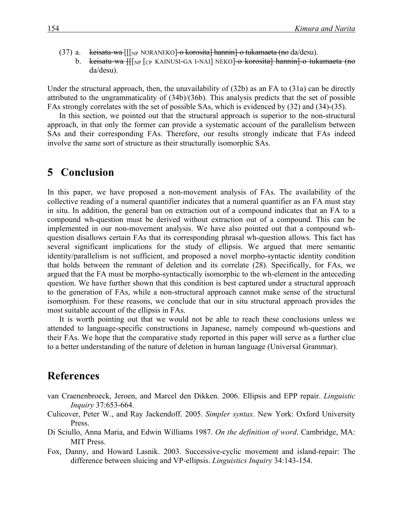- (37) a. keisatu-wa  $[[\rho_{NP} \text{ NORANEKO}] \text{korosita}]$  hannin $]-\text{oukamaeta}$  (no da/desu).
	- b. keisatu-wa [[[<sub>NP</sub> [<sub>CP</sub> KAINUSI-GA I-NAI] NEKO]-o korosita] hannin]-o tukamaeta (no da/desu).

Under the structural approach, then, the unavailability of (32b) as an FA to (31a) can be directly attributed to the ungrammaticality of (34b)/(36b). This analysis predicts that the set of possible FAs strongly correlates with the set of possible SAs, which is evidenced by (32) and (34)-(35).

In this section, we pointed out that the structural approach is superior to the non-structural approach, in that only the former can provide a systematic account of the parallelism between SAs and their corresponding FAs. Therefore, our results strongly indicate that FAs indeed involve the same sort of structure as their structurally isomorphic SAs.

# **5** Conclusion

In this paper, we have proposed a non-movement analysis of FAs. The availability of the collective reading of a numeral quantifier indicates that a numeral quantifier as an FA must stay in situ. In addition, the general ban on extraction out of a compound indicates that an FA to a compound wh-question must be derived without extraction out of a compound. This can be implemented in our non-movement analysis. We have also pointed out that a compound whquestion disallows certain FAs that its corresponding phrasal wh-question allows. This fact has several significant implications for the study of ellipsis. We argued that mere semantic identity/parallelism is not sufficient, and proposed a novel morpho-syntactic identity condition that holds between the remnant of deletion and its correlate (28). Specifically, for FAs, we argued that the FA must be morpho-syntactically isomorphic to the wh-element in the anteceding question. We have further shown that this condition is best captured under a structural approach to the generation of FAs, while a non-structural approach cannot make sense of the structural isomorphism. For these reasons, we conclude that our in situ structural approach provides the most suitable account of the ellipsis in FAs.

It is worth pointing out that we would not be able to reach these conclusions unless we attended to language-specific constructions in Japanese, namely compound wh-questions and their FAs. We hope that the comparative study reported in this paper will serve as a further clue to a better understanding of the nature of deletion in human language (Universal Grammar).

### **References**

- van Craenenbroeck, Jeroen, and Marcel den Dikken. 2006. Ellipsis and EPP repair. *Linguistic Inquiry* 37:653-664.
- Culicover, Peter W., and Ray Jackendoff. 2005. *Simpler syntax*. New York: Oxford University Press.
- Di Sciullo, Anna Maria, and Edwin Williams 1987. *On the definition of word*. Cambridge, MA: MIT Press.
- Fox, Danny, and Howard Lasnik. 2003. Successive-cyclic movement and island-repair: The difference between sluicing and VP-ellipsis. *Linguistics Inquiry* 34:143-154.